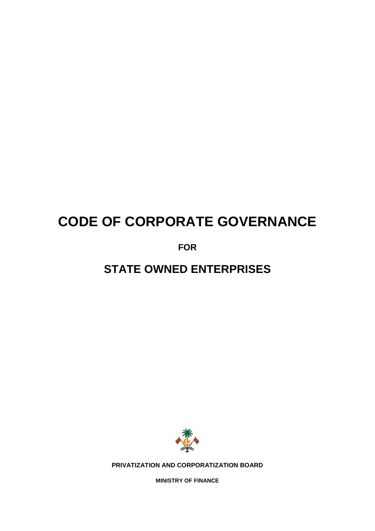# **CODE OF CORPORATE GOVERNANCE**

**FOR** 

**STATE OWNED ENTERPRISES**



**PRIVATIZATION AND CORPORATIZATION BOARD**

**MINISTRY OF FINANCE**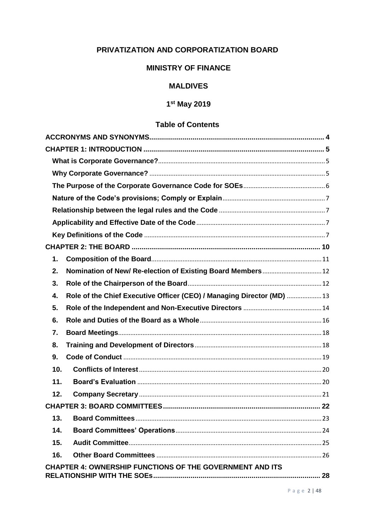# PRIVATIZATION AND CORPORATIZATION BOARD

## **MINISTRY OF FINANCE**

## **MALDIVES**

# 1st May 2019

# **Table of Contents**

| 1.                                                                           |  |
|------------------------------------------------------------------------------|--|
| Nomination of New/ Re-election of Existing Board Members 12<br>2.            |  |
| 3.                                                                           |  |
| Role of the Chief Executive Officer (CEO) / Managing Director (MD)  13<br>4. |  |
| 5.                                                                           |  |
| 6.                                                                           |  |
| 7.                                                                           |  |
| 8.                                                                           |  |
| 9.                                                                           |  |
| 10.                                                                          |  |
| 11.                                                                          |  |
| 12.                                                                          |  |
|                                                                              |  |
| 13.                                                                          |  |
| 14.                                                                          |  |
| 15.                                                                          |  |
| 16.                                                                          |  |
| <b>CHAPTER 4: OWNERSHIP FUNCTIONS OF THE GOVERNMENT AND ITS</b>              |  |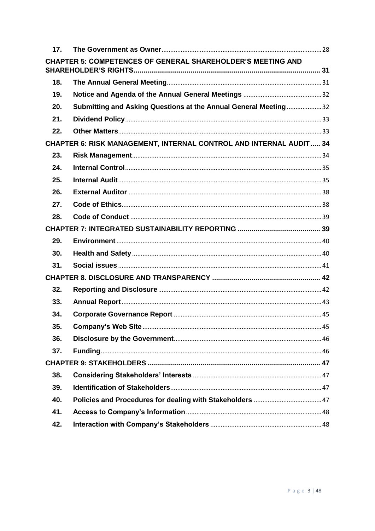| 17.                                                                |                                                                    |  |  |  |
|--------------------------------------------------------------------|--------------------------------------------------------------------|--|--|--|
|                                                                    | <b>CHAPTER 5: COMPETENCES OF GENERAL SHAREHOLDER'S MEETING AND</b> |  |  |  |
| 18.                                                                |                                                                    |  |  |  |
| 19.                                                                |                                                                    |  |  |  |
| 20.                                                                | Submitting and Asking Questions at the Annual General Meeting32    |  |  |  |
| 21.                                                                |                                                                    |  |  |  |
| 22.                                                                |                                                                    |  |  |  |
| CHAPTER 6: RISK MANAGEMENT, INTERNAL CONTROL AND INTERNAL AUDIT 34 |                                                                    |  |  |  |
| 23.                                                                |                                                                    |  |  |  |
| 24.                                                                |                                                                    |  |  |  |
| 25.                                                                |                                                                    |  |  |  |
| 26.                                                                |                                                                    |  |  |  |
| 27.                                                                |                                                                    |  |  |  |
| 28.                                                                |                                                                    |  |  |  |
|                                                                    |                                                                    |  |  |  |
| 29.                                                                |                                                                    |  |  |  |
| 30.                                                                |                                                                    |  |  |  |
| 31.                                                                |                                                                    |  |  |  |
|                                                                    |                                                                    |  |  |  |
| 32.                                                                |                                                                    |  |  |  |
| 33.                                                                |                                                                    |  |  |  |
| 34.                                                                |                                                                    |  |  |  |
| 35.                                                                |                                                                    |  |  |  |
| 36.                                                                |                                                                    |  |  |  |
| 37.                                                                |                                                                    |  |  |  |
|                                                                    |                                                                    |  |  |  |
| 38.                                                                |                                                                    |  |  |  |
| 39.                                                                |                                                                    |  |  |  |
| 40.                                                                |                                                                    |  |  |  |
| 41.                                                                |                                                                    |  |  |  |
| 42.                                                                |                                                                    |  |  |  |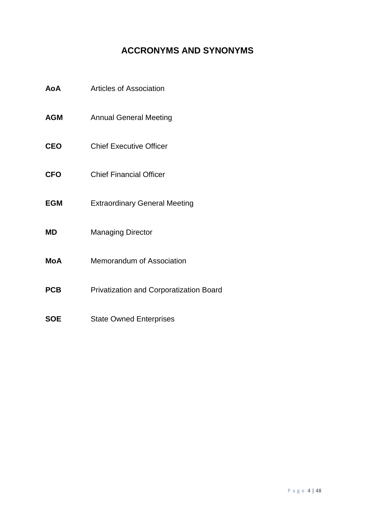# **ACCRONYMS AND SYNONYMS**

- <span id="page-3-0"></span>**AoA** Articles of Association
- **AGM** Annual General Meeting
- **CEO** Chief Executive Officer
- **CFO** Chief Financial Officer
- **EGM** Extraordinary General Meeting
- **MD** Managing Director
- **MoA** Memorandum of Association
- **PCB** Privatization and Corporatization Board
- **SOE** State Owned Enterprises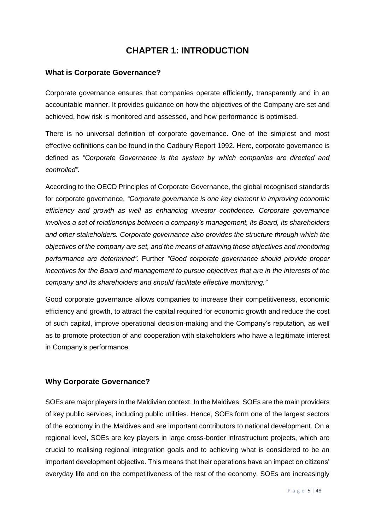# **CHAPTER 1: INTRODUCTION**

#### <span id="page-4-1"></span><span id="page-4-0"></span>**What is Corporate Governance?**

Corporate governance ensures that companies operate efficiently, transparently and in an accountable manner. It provides guidance on how the objectives of the Company are set and achieved, how risk is monitored and assessed, and how performance is optimised.

There is no universal definition of corporate governance. One of the simplest and most effective definitions can be found in the Cadbury Report 1992. Here, corporate governance is defined as *"Corporate Governance is the system by which companies are directed and controlled"*.

According to the OECD Principles of Corporate Governance, the global recognised standards for corporate governance, *"Corporate governance is one key element in improving economic efficiency and growth as well as enhancing investor confidence. Corporate governance involves a set of relationships between a company's management, its Board, its shareholders and other stakeholders. Corporate governance also provides the structure through which the objectives of the company are set, and the means of attaining those objectives and monitoring performance are determined".* Further *"Good corporate governance should provide proper incentives for the Board and management to pursue objectives that are in the interests of the company and its shareholders and should facilitate effective monitoring."*

Good corporate governance allows companies to increase their competitiveness, economic efficiency and growth, to attract the capital required for economic growth and reduce the cost of such capital, improve operational decision-making and the Company's reputation, as well as to promote protection of and cooperation with stakeholders who have a legitimate interest in Company's performance.

#### <span id="page-4-2"></span>**Why Corporate Governance?**

SOEs are major players in the Maldivian context. In the Maldives, SOEs are the main providers of key public services, including public utilities. Hence, SOEs form one of the largest sectors of the economy in the Maldives and are important contributors to national development. On a regional level, SOEs are key players in large cross-border infrastructure projects, which are crucial to realising regional integration goals and to achieving what is considered to be an important development objective. This means that their operations have an impact on citizens' everyday life and on the competitiveness of the rest of the economy. SOEs are increasingly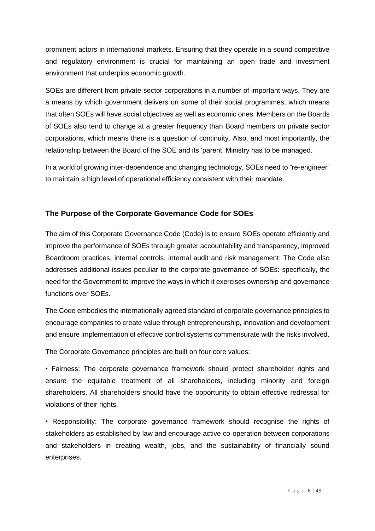prominent actors in international markets. Ensuring that they operate in a sound competitive and regulatory environment is crucial for maintaining an open trade and investment environment that underpins economic growth.

SOEs are different from private sector corporations in a number of important ways. They are a means by which government delivers on some of their social programmes, which means that often SOEs will have social objectives as well as economic ones. Members on the Boards of SOEs also tend to change at a greater frequency than Board members on private sector corporations, which means there is a question of continuity. Also, and most importantly, the relationship between the Board of the SOE and its 'parent' Ministry has to be managed.

In a world of growing inter-dependence and changing technology, SOEs need to "re-engineer" to maintain a high level of operational efficiency consistent with their mandate.

## <span id="page-5-0"></span>**The Purpose of the Corporate Governance Code for SOEs**

The aim of this Corporate Governance Code (Code) is to ensure SOEs operate efficiently and improve the performance of SOEs through greater accountability and transparency, improved Boardroom practices, internal controls, internal audit and risk management. The Code also addresses additional issues peculiar to the corporate governance of SOEs: specifically, the need for the Government to improve the ways in which it exercises ownership and governance functions over SOEs.

The Code embodies the internationally agreed standard of corporate governance principles to encourage companies to create value through entrepreneurship, innovation and development and ensure implementation of effective control systems commensurate with the risks involved.

The Corporate Governance principles are built on four core values:

• Fairness: The corporate governance framework should protect shareholder rights and ensure the equitable treatment of all shareholders, including minority and foreign shareholders. All shareholders should have the opportunity to obtain effective redressal for violations of their rights.

• Responsibility: The corporate governance framework should recognise the rights of stakeholders as established by law and encourage active co-operation between corporations and stakeholders in creating wealth, jobs, and the sustainability of financially sound enterprises.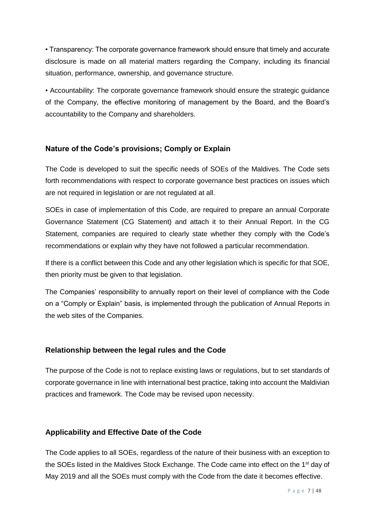• Transparency: The corporate governance framework should ensure that timely and accurate disclosure is made on all material matters regarding the Company, including its financial situation, performance, ownership, and governance structure.

• Accountability: The corporate governance framework should ensure the strategic guidance of the Company, the effective monitoring of management by the Board, and the Board's accountability to the Company and shareholders.

#### <span id="page-6-0"></span>**Nature of the Code's provisions; Comply or Explain**

The Code is developed to suit the specific needs of SOEs of the Maldives. The Code sets forth recommendations with respect to corporate governance best practices on issues which are not required in legislation or are not regulated at all.

SOEs in case of implementation of this Code, are required to prepare an annual Corporate Governance Statement (CG Statement) and attach it to their Annual Report. In the CG Statement, companies are required to clearly state whether they comply with the Code's recommendations or explain why they have not followed a particular recommendation.

If there is a conflict between this Code and any other legislation which is specific for that SOE, then priority must be given to that legislation.

The Companies' responsibility to annually report on their level of compliance with the Code on a "Comply or Explain" basis, is implemented through the publication of Annual Reports in the web sites of the Companies.

#### <span id="page-6-1"></span>**Relationship between the legal rules and the Code**

The purpose of the Code is not to replace existing laws or regulations, but to set standards of corporate governance in line with international best practice, taking into account the Maldivian practices and framework. The Code may be revised upon necessity.

#### <span id="page-6-2"></span>**Applicability and Effective Date of the Code**

<span id="page-6-3"></span>The Code applies to all SOEs, regardless of the nature of their business with an exception to the SOEs listed in the Maldives Stock Exchange. The Code came into effect on the 1<sup>st</sup> day of May 2019 and all the SOEs must comply with the Code from the date it becomes effective.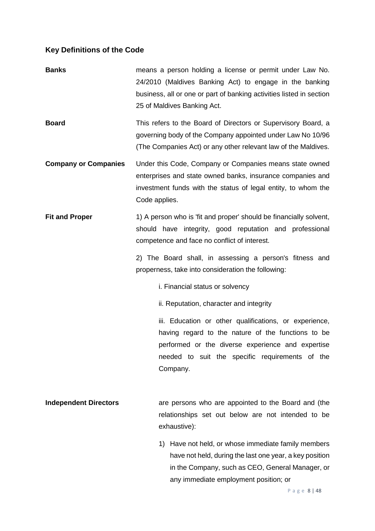# **Key Definitions of the Code**

| <b>Banks</b>                 | means a person holding a license or permit under Law No.<br>24/2010 (Maldives Banking Act) to engage in the banking<br>business, all or one or part of banking activities listed in section<br>25 of Maldives Banking Act.       |
|------------------------------|----------------------------------------------------------------------------------------------------------------------------------------------------------------------------------------------------------------------------------|
| <b>Board</b>                 | This refers to the Board of Directors or Supervisory Board, a<br>governing body of the Company appointed under Law No 10/96<br>(The Companies Act) or any other relevant law of the Maldives.                                    |
| <b>Company or Companies</b>  | Under this Code, Company or Companies means state owned<br>enterprises and state owned banks, insurance companies and<br>investment funds with the status of legal entity, to whom the<br>Code applies.                          |
| <b>Fit and Proper</b>        | 1) A person who is 'fit and proper' should be financially solvent,<br>should have integrity, good reputation and professional<br>competence and face no conflict of interest.                                                    |
|                              | 2) The Board shall, in assessing a person's fitness and<br>properness, take into consideration the following:                                                                                                                    |
|                              | i. Financial status or solvency                                                                                                                                                                                                  |
|                              | ii. Reputation, character and integrity                                                                                                                                                                                          |
|                              | iii. Education or other qualifications, or experience,<br>having regard to the nature of the functions to be<br>performed or the diverse experience and expertise<br>needed to suit the specific requirements of the<br>Company. |
| <b>Independent Directors</b> | are persons who are appointed to the Board and (the<br>relationships set out below are not intended to be<br>exhaustive):                                                                                                        |
|                              | Have not held, or whose immediate family members<br>1)<br>have not held, during the last one year, a key position<br>in the Company, such as CEO, General Manager, or<br>any immediate employment position; or                   |

P a g e 8 | 48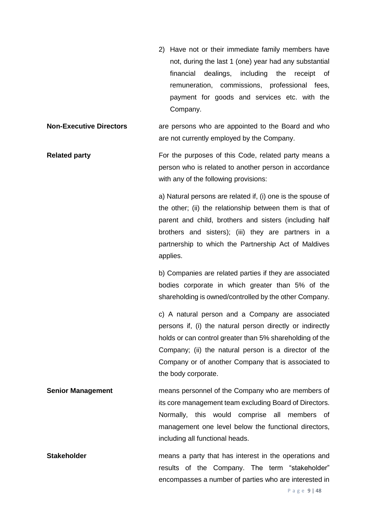2) Have not or their immediate family members have not, during the last 1 (one) year had any substantial financial dealings, including the receipt of remuneration, commissions, professional fees, payment for goods and services etc. with the Company.

**Non-Executive Directors** are persons who are appointed to the Board and who are not currently employed by the Company.

**Related party For the purposes of this Code, related party means a** person who is related to another person in accordance with any of the following provisions:

> a) Natural persons are related if, (i) one is the spouse of the other; (ii) the relationship between them is that of parent and child, brothers and sisters (including half brothers and sisters); (iii) they are partners in a partnership to which the Partnership Act of Maldives applies.

> b) Companies are related parties if they are associated bodies corporate in which greater than 5% of the shareholding is owned/controlled by the other Company.

> c) A natural person and a Company are associated persons if, (i) the natural person directly or indirectly holds or can control greater than 5% shareholding of the Company; (ii) the natural person is a director of the Company or of another Company that is associated to the body corporate.

**Senior Management** means personnel of the Company who are members of its core management team excluding Board of Directors. Normally, this would comprise all members of management one level below the functional directors, including all functional heads.

**Stakeholder Stakeholder means a party that has interest in the operations and** results of the Company. The term "stakeholder" encompasses a number of parties who are interested in

P a g e 9 | 48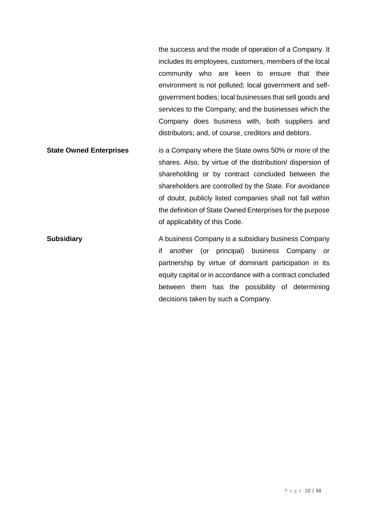the success and the mode of operation of a Company. It includes its employees, customers, members of the local community who are keen to ensure that their environment is not polluted; local government and selfgovernment bodies; local businesses that sell goods and services to the Company; and the businesses which the Company does business with, both suppliers and distributors; and, of course, creditors and debtors.

**State Owned Enterprises** is a Company where the State owns 50% or more of the shares. Also, by virtue of the distribution/ dispersion of shareholding or by contract concluded between the shareholders are controlled by the State. For avoidance of doubt, publicly listed companies shall not fall within the definition of State Owned Enterprises for the purpose of applicability of this Code.

<span id="page-9-0"></span>**Subsidiary A business Company is a subsidiary business Company** if another (or principal) business Company or partnership by virtue of dominant participation in its equity capital or in accordance with a contract concluded between them has the possibility of determining decisions taken by such a Company.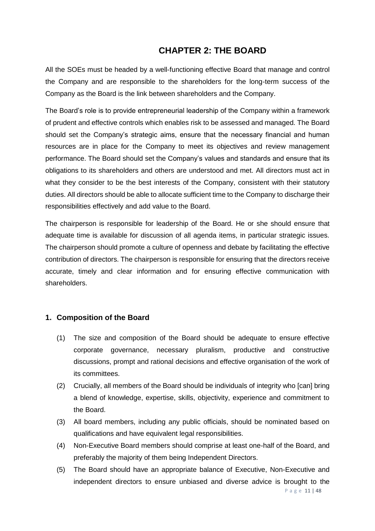# **CHAPTER 2: THE BOARD**

All the SOEs must be headed by a well-functioning effective Board that manage and control the Company and are responsible to the shareholders for the long-term success of the Company as the Board is the link between shareholders and the Company.

The Board's role is to provide entrepreneurial leadership of the Company within a framework of prudent and effective controls which enables risk to be assessed and managed. The Board should set the Company's strategic aims, ensure that the necessary financial and human resources are in place for the Company to meet its objectives and review management performance. The Board should set the Company's values and standards and ensure that its obligations to its shareholders and others are understood and met. All directors must act in what they consider to be the best interests of the Company, consistent with their statutory duties. All directors should be able to allocate sufficient time to the Company to discharge their responsibilities effectively and add value to the Board.

The chairperson is responsible for leadership of the Board. He or she should ensure that adequate time is available for discussion of all agenda items, in particular strategic issues. The chairperson should promote a culture of openness and debate by facilitating the effective contribution of directors. The chairperson is responsible for ensuring that the directors receive accurate, timely and clear information and for ensuring effective communication with shareholders.

#### <span id="page-10-0"></span>**1. Composition of the Board**

- (1) The size and composition of the Board should be adequate to ensure effective corporate governance, necessary pluralism, productive and constructive discussions, prompt and rational decisions and effective organisation of the work of its committees.
- (2) Crucially, all members of the Board should be individuals of integrity who [can] bring a blend of knowledge, expertise, skills, objectivity, experience and commitment to the Board.
- (3) All board members, including any public officials, should be nominated based on qualifications and have equivalent legal responsibilities.
- (4) Non-Executive Board members should comprise at least one-half of the Board, and preferably the majority of them being Independent Directors.
- (5) The Board should have an appropriate balance of Executive, Non-Executive and independent directors to ensure unbiased and diverse advice is brought to the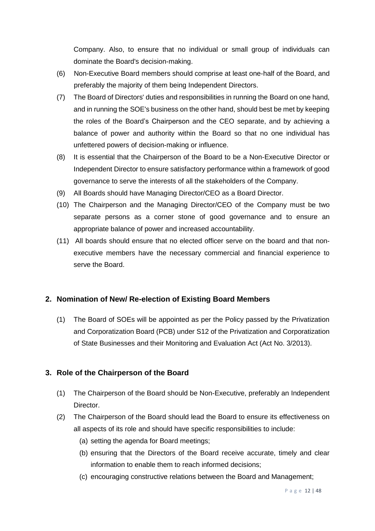Company. Also, to ensure that no individual or small group of individuals can dominate the Board's decision-making.

- (6) Non-Executive Board members should comprise at least one-half of the Board, and preferably the majority of them being Independent Directors.
- (7) The Board of Directors' duties and responsibilities in running the Board on one hand, and in running the SOE's business on the other hand, should best be met by keeping the roles of the Board's Chairperson and the CEO separate, and by achieving a balance of power and authority within the Board so that no one individual has unfettered powers of decision-making or influence.
- (8) It is essential that the Chairperson of the Board to be a Non-Executive Director or Independent Director to ensure satisfactory performance within a framework of good governance to serve the interests of all the stakeholders of the Company.
- (9) All Boards should have Managing Director/CEO as a Board Director.
- (10) The Chairperson and the Managing Director/CEO of the Company must be two separate persons as a corner stone of good governance and to ensure an appropriate balance of power and increased accountability.
- (11) All boards should ensure that no elected officer serve on the board and that nonexecutive members have the necessary commercial and financial experience to serve the Board.

#### <span id="page-11-0"></span>**2. Nomination of New/ Re-election of Existing Board Members**

(1) The Board of SOEs will be appointed as per the Policy passed by the Privatization and Corporatization Board (PCB) under S12 of the Privatization and Corporatization of State Businesses and their Monitoring and Evaluation Act (Act No. 3/2013).

## <span id="page-11-1"></span>**3. Role of the Chairperson of the Board**

- (1) The Chairperson of the Board should be Non-Executive, preferably an Independent Director.
- (2) The Chairperson of the Board should lead the Board to ensure its effectiveness on all aspects of its role and should have specific responsibilities to include:
	- (a) setting the agenda for Board meetings;
	- (b) ensuring that the Directors of the Board receive accurate, timely and clear information to enable them to reach informed decisions;
	- (c) encouraging constructive relations between the Board and Management;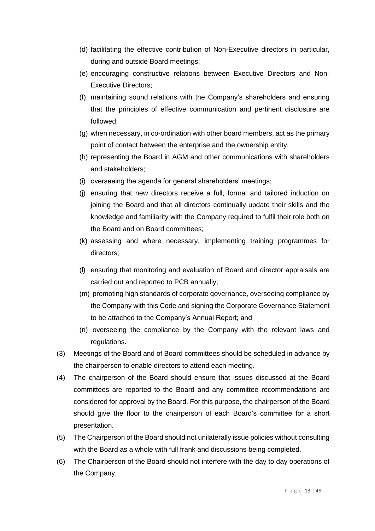- (d) facilitating the effective contribution of Non-Executive directors in particular, during and outside Board meetings;
- (e) encouraging constructive relations between Executive Directors and Non-Executive Directors;
- (f) maintaining sound relations with the Company's shareholders and ensuring that the principles of effective communication and pertinent disclosure are followed;
- (g) when necessary, in co-ordination with other board members, act as the primary point of contact between the enterprise and the ownership entity.
- (h) representing the Board in AGM and other communications with shareholders and stakeholders;
- (i) overseeing the agenda for general shareholders' meetings;
- (j) ensuring that new directors receive a full, formal and tailored induction on joining the Board and that all directors continually update their skills and the knowledge and familiarity with the Company required to fulfil their role both on the Board and on Board committees;
- (k) assessing and where necessary, implementing training programmes for directors;
- (l) ensuring that monitoring and evaluation of Board and director appraisals are carried out and reported to PCB annually;
- (m) promoting high standards of corporate governance, overseeing compliance by the Company with this Code and signing the Corporate Governance Statement to be attached to the Company's Annual Report; and
- (n) overseeing the compliance by the Company with the relevant laws and regulations.
- (3) Meetings of the Board and of Board committees should be scheduled in advance by the chairperson to enable directors to attend each meeting.
- (4) The chairperson of the Board should ensure that issues discussed at the Board committees are reported to the Board and any committee recommendations are considered for approval by the Board. For this purpose, the chairperson of the Board should give the floor to the chairperson of each Board's committee for a short presentation.
- (5) The Chairperson of the Board should not unilaterally issue policies without consulting with the Board as a whole with full frank and discussions being completed.
- <span id="page-12-0"></span>(6) The Chairperson of the Board should not interfere with the day to day operations of the Company.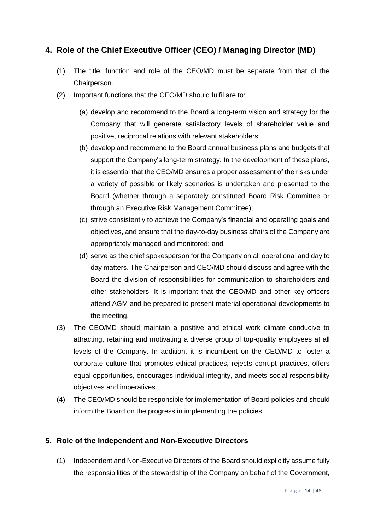## **4. Role of the Chief Executive Officer (CEO) / Managing Director (MD)**

- (1) The title, function and role of the CEO/MD must be separate from that of the Chairperson.
- (2) Important functions that the CEO/MD should fulfil are to:
	- (a) develop and recommend to the Board a long-term vision and strategy for the Company that will generate satisfactory levels of shareholder value and positive, reciprocal relations with relevant stakeholders;
	- (b) develop and recommend to the Board annual business plans and budgets that support the Company's long-term strategy. In the development of these plans, it is essential that the CEO/MD ensures a proper assessment of the risks under a variety of possible or likely scenarios is undertaken and presented to the Board (whether through a separately constituted Board Risk Committee or through an Executive Risk Management Committee);
	- (c) strive consistently to achieve the Company's financial and operating goals and objectives, and ensure that the day-to-day business affairs of the Company are appropriately managed and monitored; and
	- (d) serve as the chief spokesperson for the Company on all operational and day to day matters. The Chairperson and CEO/MD should discuss and agree with the Board the division of responsibilities for communication to shareholders and other stakeholders. It is important that the CEO/MD and other key officers attend AGM and be prepared to present material operational developments to the meeting.
- (3) The CEO/MD should maintain a positive and ethical work climate conducive to attracting, retaining and motivating a diverse group of top-quality employees at all levels of the Company. In addition, it is incumbent on the CEO/MD to foster a corporate culture that promotes ethical practices, rejects corrupt practices, offers equal opportunities, encourages individual integrity, and meets social responsibility objectives and imperatives.
- (4) The CEO/MD should be responsible for implementation of Board policies and should inform the Board on the progress in implementing the policies.

## <span id="page-13-0"></span>**5. Role of the Independent and Non-Executive Directors**

(1) Independent and Non-Executive Directors of the Board should explicitly assume fully the responsibilities of the stewardship of the Company on behalf of the Government,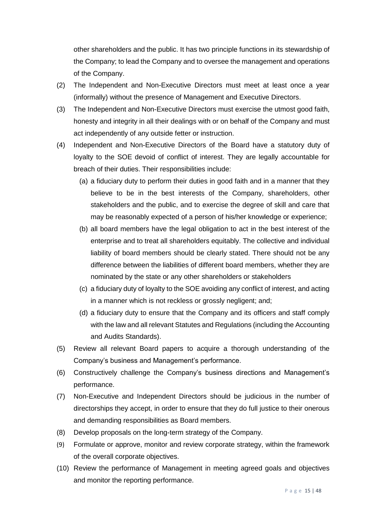other shareholders and the public. It has two principle functions in its stewardship of the Company; to lead the Company and to oversee the management and operations of the Company.

- (2) The Independent and Non-Executive Directors must meet at least once a year (informally) without the presence of Management and Executive Directors.
- (3) The Independent and Non-Executive Directors must exercise the utmost good faith, honesty and integrity in all their dealings with or on behalf of the Company and must act independently of any outside fetter or instruction.
- (4) Independent and Non-Executive Directors of the Board have a statutory duty of loyalty to the SOE devoid of conflict of interest. They are legally accountable for breach of their duties. Their responsibilities include:
	- (a) a fiduciary duty to perform their duties in good faith and in a manner that they believe to be in the best interests of the Company, shareholders, other stakeholders and the public, and to exercise the degree of skill and care that may be reasonably expected of a person of his/her knowledge or experience;
	- (b) all board members have the legal obligation to act in the best interest of the enterprise and to treat all shareholders equitably. The collective and individual liability of board members should be clearly stated. There should not be any difference between the liabilities of different board members, whether they are nominated by the state or any other shareholders or stakeholders
	- (c) a fiduciary duty of loyalty to the SOE avoiding any conflict of interest, and acting in a manner which is not reckless or grossly negligent; and;
	- (d) a fiduciary duty to ensure that the Company and its officers and staff comply with the law and all relevant Statutes and Regulations (including the Accounting and Audits Standards).
- (5) Review all relevant Board papers to acquire a thorough understanding of the Company's business and Management's performance.
- (6) Constructively challenge the Company's business directions and Management's performance.
- (7) Non-Executive and Independent Directors should be judicious in the number of directorships they accept, in order to ensure that they do full justice to their onerous and demanding responsibilities as Board members.
- (8) Develop proposals on the long-term strategy of the Company.
- (9) Formulate or approve, monitor and review corporate strategy, within the framework of the overall corporate objectives.
- (10) Review the performance of Management in meeting agreed goals and objectives and monitor the reporting performance.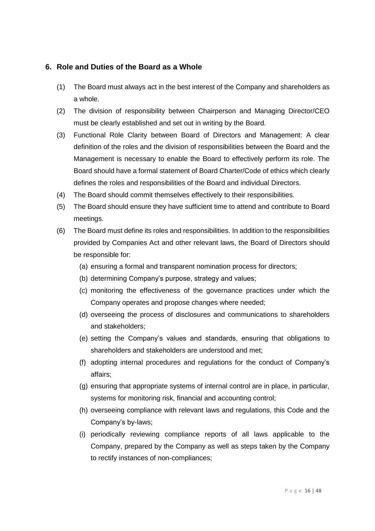#### <span id="page-15-0"></span>**6. Role and Duties of the Board as a Whole**

- (1) The Board must always act in the best interest of the Company and shareholders as a whole.
- (2) The division of responsibility between Chairperson and Managing Director/CEO must be clearly established and set out in writing by the Board.
- (3) Functional Role Clarity between Board of Directors and Management: A clear definition of the roles and the division of responsibilities between the Board and the Management is necessary to enable the Board to effectively perform its role. The Board should have a formal statement of Board Charter/Code of ethics which clearly defines the roles and responsibilities of the Board and individual Directors.
- (4) The Board should commit themselves effectively to their responsibilities.
- (5) The Board should ensure they have sufficient time to attend and contribute to Board meetings.
- (6) The Board must define its roles and responsibilities. In addition to the responsibilities provided by Companies Act and other relevant laws, the Board of Directors should be responsible for:
	- (a) ensuring a formal and transparent nomination process for directors;
	- (b) determining Company's purpose, strategy and values;
	- (c) monitoring the effectiveness of the governance practices under which the Company operates and propose changes where needed;
	- (d) overseeing the process of disclosures and communications to shareholders and stakeholders;
	- (e) setting the Company's values and standards, ensuring that obligations to shareholders and stakeholders are understood and met;
	- (f) adopting internal procedures and regulations for the conduct of Company's affairs;
	- (g) ensuring that appropriate systems of internal control are in place, in particular, systems for monitoring risk, financial and accounting control;
	- (h) overseeing compliance with relevant laws and regulations, this Code and the Company's by-laws;
	- (i) periodically reviewing compliance reports of all laws applicable to the Company, prepared by the Company as well as steps taken by the Company to rectify instances of non-compliances;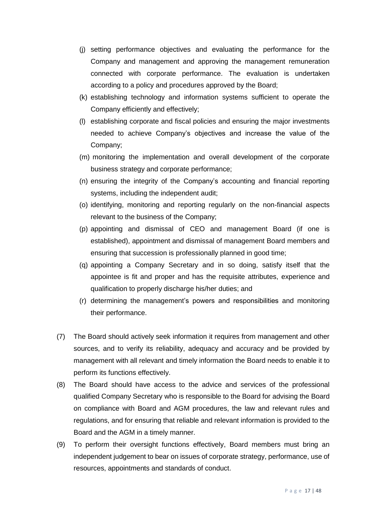- (j) setting performance objectives and evaluating the performance for the Company and management and approving the management remuneration connected with corporate performance. The evaluation is undertaken according to a policy and procedures approved by the Board;
- (k) establishing technology and information systems sufficient to operate the Company efficiently and effectively;
- (l) establishing corporate and fiscal policies and ensuring the major investments needed to achieve Company's objectives and increase the value of the Company;
- (m) monitoring the implementation and overall development of the corporate business strategy and corporate performance;
- (n) ensuring the integrity of the Company's accounting and financial reporting systems, including the independent audit;
- (o) identifying, monitoring and reporting regularly on the non-financial aspects relevant to the business of the Company;
- (p) appointing and dismissal of CEO and management Board (if one is established), appointment and dismissal of management Board members and ensuring that succession is professionally planned in good time;
- (q) appointing a Company Secretary and in so doing, satisfy itself that the appointee is fit and proper and has the requisite attributes, experience and qualification to properly discharge his/her duties; and
- (r) determining the management's powers and responsibilities and monitoring their performance.
- (7) The Board should actively seek information it requires from management and other sources, and to verify its reliability, adequacy and accuracy and be provided by management with all relevant and timely information the Board needs to enable it to perform its functions effectively.
- (8) The Board should have access to the advice and services of the professional qualified Company Secretary who is responsible to the Board for advising the Board on compliance with Board and AGM procedures, the law and relevant rules and regulations, and for ensuring that reliable and relevant information is provided to the Board and the AGM in a timely manner.
- (9) To perform their oversight functions effectively, Board members must bring an independent judgement to bear on issues of corporate strategy, performance, use of resources, appointments and standards of conduct.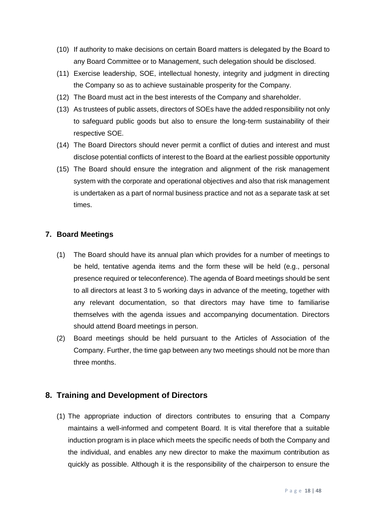- (10) If authority to make decisions on certain Board matters is delegated by the Board to any Board Committee or to Management, such delegation should be disclosed.
- (11) Exercise leadership, SOE, intellectual honesty, integrity and judgment in directing the Company so as to achieve sustainable prosperity for the Company.
- (12) The Board must act in the best interests of the Company and shareholder.
- (13) As trustees of public assets, directors of SOEs have the added responsibility not only to safeguard public goods but also to ensure the long-term sustainability of their respective SOE.
- (14) The Board Directors should never permit a conflict of duties and interest and must disclose potential conflicts of interest to the Board at the earliest possible opportunity
- (15) The Board should ensure the integration and alignment of the risk management system with the corporate and operational objectives and also that risk management is undertaken as a part of normal business practice and not as a separate task at set times.

#### <span id="page-17-0"></span>**7. Board Meetings**

- (1) The Board should have its annual plan which provides for a number of meetings to be held, tentative agenda items and the form these will be held (e.g., personal presence required or teleconference). The agenda of Board meetings should be sent to all directors at least 3 to 5 working days in advance of the meeting, together with any relevant documentation, so that directors may have time to familiarise themselves with the agenda issues and accompanying documentation. Directors should attend Board meetings in person.
- (2) Board meetings should be held pursuant to the Articles of Association of the Company. Further, the time gap between any two meetings should not be more than three months.

#### <span id="page-17-1"></span>**8. Training and Development of Directors**

(1) The appropriate induction of directors contributes to ensuring that a Company maintains a well-informed and competent Board. It is vital therefore that a suitable induction program is in place which meets the specific needs of both the Company and the individual, and enables any new director to make the maximum contribution as quickly as possible. Although it is the responsibility of the chairperson to ensure the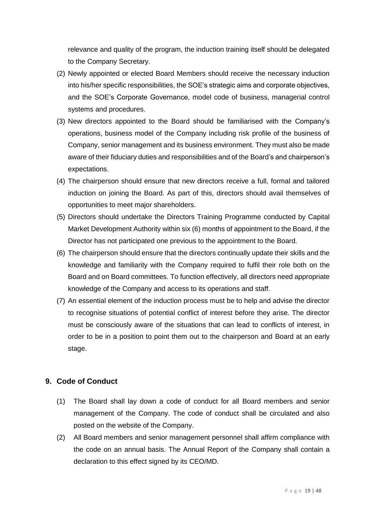relevance and quality of the program, the induction training itself should be delegated to the Company Secretary.

- (2) Newly appointed or elected Board Members should receive the necessary induction into his/her specific responsibilities, the SOE's strategic aims and corporate objectives, and the SOE's Corporate Governance, model code of business, managerial control systems and procedures.
- (3) New directors appointed to the Board should be familiarised with the Company's operations, business model of the Company including risk profile of the business of Company, senior management and its business environment. They must also be made aware of their fiduciary duties and responsibilities and of the Board's and chairperson's expectations.
- (4) The chairperson should ensure that new directors receive a full, formal and tailored induction on joining the Board. As part of this, directors should avail themselves of opportunities to meet major shareholders.
- (5) Directors should undertake the Directors Training Programme conducted by Capital Market Development Authority within six (6) months of appointment to the Board, if the Director has not participated one previous to the appointment to the Board.
- (6) The chairperson should ensure that the directors continually update their skills and the knowledge and familiarity with the Company required to fulfil their role both on the Board and on Board committees. To function effectively, all directors need appropriate knowledge of the Company and access to its operations and staff.
- (7) An essential element of the induction process must be to help and advise the director to recognise situations of potential conflict of interest before they arise. The director must be consciously aware of the situations that can lead to conflicts of interest, in order to be in a position to point them out to the chairperson and Board at an early stage.

#### <span id="page-18-0"></span>**9. Code of Conduct**

- (1) The Board shall lay down a code of conduct for all Board members and senior management of the Company. The code of conduct shall be circulated and also posted on the website of the Company.
- (2) All Board members and senior management personnel shall affirm compliance with the code on an annual basis. The Annual Report of the Company shall contain a declaration to this effect signed by its CEO/MD.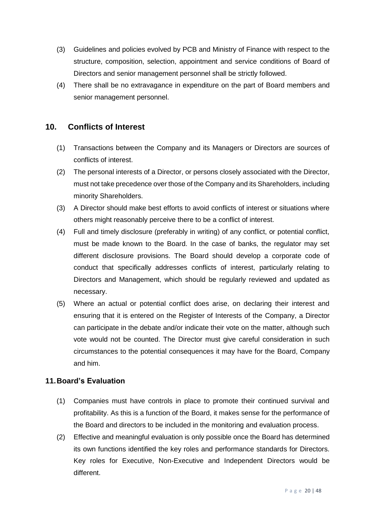- (3) Guidelines and policies evolved by PCB and Ministry of Finance with respect to the structure, composition, selection, appointment and service conditions of Board of Directors and senior management personnel shall be strictly followed.
- (4) There shall be no extravagance in expenditure on the part of Board members and senior management personnel.

## <span id="page-19-0"></span>**10. Conflicts of Interest**

- (1) Transactions between the Company and its Managers or Directors are sources of conflicts of interest.
- (2) The personal interests of a Director, or persons closely associated with the Director, must not take precedence over those of the Company and its Shareholders, including minority Shareholders.
- (3) A Director should make best efforts to avoid conflicts of interest or situations where others might reasonably perceive there to be a conflict of interest.
- (4) Full and timely disclosure (preferably in writing) of any conflict, or potential conflict, must be made known to the Board. In the case of banks, the regulator may set different disclosure provisions. The Board should develop a corporate code of conduct that specifically addresses conflicts of interest, particularly relating to Directors and Management, which should be regularly reviewed and updated as necessary.
- (5) Where an actual or potential conflict does arise, on declaring their interest and ensuring that it is entered on the Register of Interests of the Company, a Director can participate in the debate and/or indicate their vote on the matter, although such vote would not be counted. The Director must give careful consideration in such circumstances to the potential consequences it may have for the Board, Company and him.

## <span id="page-19-1"></span>**11.Board's Evaluation**

- (1) Companies must have controls in place to promote their continued survival and profitability. As this is a function of the Board, it makes sense for the performance of the Board and directors to be included in the monitoring and evaluation process.
- (2) Effective and meaningful evaluation is only possible once the Board has determined its own functions identified the key roles and performance standards for Directors. Key roles for Executive, Non-Executive and Independent Directors would be different.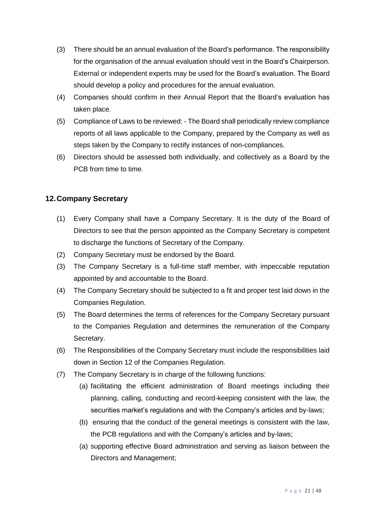- (3) There should be an annual evaluation of the Board's performance. The responsibility for the organisation of the annual evaluation should vest in the Board's Chairperson. External or independent experts may be used for the Board's evaluation. The Board should develop a policy and procedures for the annual evaluation.
- (4) Companies should confirm in their Annual Report that the Board's evaluation has taken place.
- (5) Compliance of Laws to be reviewed: The Board shall periodically review compliance reports of all laws applicable to the Company, prepared by the Company as well as steps taken by the Company to rectify instances of non-compliances.
- (6) Directors should be assessed both individually, and collectively as a Board by the PCB from time to time.

### <span id="page-20-0"></span>**12.Company Secretary**

- (1) Every Company shall have a Company Secretary. It is the duty of the Board of Directors to see that the person appointed as the Company Secretary is competent to discharge the functions of Secretary of the Company.
- (2) Company Secretary must be endorsed by the Board.
- (3) The Company Secretary is a full-time staff member, with impeccable reputation appointed by and accountable to the Board.
- (4) The Company Secretary should be subjected to a fit and proper test laid down in the Companies Regulation.
- (5) The Board determines the terms of references for the Company Secretary pursuant to the Companies Regulation and determines the remuneration of the Company Secretary.
- (6) The Responsibilities of the Company Secretary must include the responsibilities laid down in Section 12 of the Companies Regulation.
- (7) The Company Secretary is in charge of the following functions:
	- (a) facilitating the efficient administration of Board meetings including their planning, calling, conducting and record-keeping consistent with the law, the securities market's regulations and with the Company's articles and by-laws;
	- (b) ensuring that the conduct of the general meetings is consistent with the law, the PCB regulations and with the Company's articles and by-laws;
	- (a) supporting effective Board administration and serving as liaison between the Directors and Management;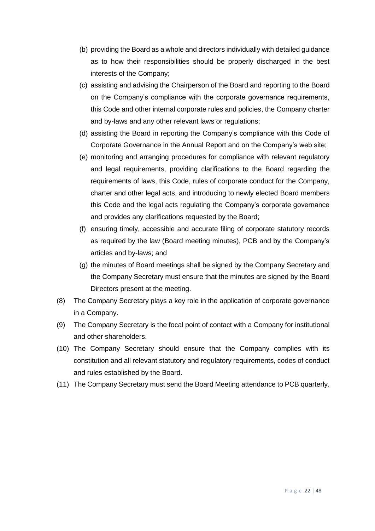- (b) providing the Board as a whole and directors individually with detailed guidance as to how their responsibilities should be properly discharged in the best interests of the Company;
- (c) assisting and advising the Chairperson of the Board and reporting to the Board on the Company's compliance with the corporate governance requirements, this Code and other internal corporate rules and policies, the Company charter and by-laws and any other relevant laws or regulations;
- (d) assisting the Board in reporting the Company's compliance with this Code of Corporate Governance in the Annual Report and on the Company's web site;
- (e) monitoring and arranging procedures for compliance with relevant regulatory and legal requirements, providing clarifications to the Board regarding the requirements of laws, this Code, rules of corporate conduct for the Company, charter and other legal acts, and introducing to newly elected Board members this Code and the legal acts regulating the Company's corporate governance and provides any clarifications requested by the Board;
- (f) ensuring timely, accessible and accurate filing of corporate statutory records as required by the law (Board meeting minutes), PCB and by the Company's articles and by-laws; and
- (g) the minutes of Board meetings shall be signed by the Company Secretary and the Company Secretary must ensure that the minutes are signed by the Board Directors present at the meeting.
- (8) The Company Secretary plays a key role in the application of corporate governance in a Company.
- (9) The Company Secretary is the focal point of contact with a Company for institutional and other shareholders.
- (10) The Company Secretary should ensure that the Company complies with its constitution and all relevant statutory and regulatory requirements, codes of conduct and rules established by the Board.
- <span id="page-21-0"></span>(11) The Company Secretary must send the Board Meeting attendance to PCB quarterly.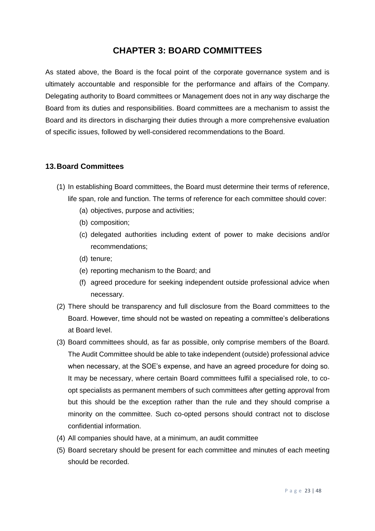# **CHAPTER 3: BOARD COMMITTEES**

As stated above, the Board is the focal point of the corporate governance system and is ultimately accountable and responsible for the performance and affairs of the Company. Delegating authority to Board committees or Management does not in any way discharge the Board from its duties and responsibilities. Board committees are a mechanism to assist the Board and its directors in discharging their duties through a more comprehensive evaluation of specific issues, followed by well-considered recommendations to the Board.

#### <span id="page-22-0"></span>**13.Board Committees**

- (1) In establishing Board committees, the Board must determine their terms of reference, life span, role and function. The terms of reference for each committee should cover:
	- (a) objectives, purpose and activities;
	- (b) composition;
	- (c) delegated authorities including extent of power to make decisions and/or recommendations;
	- (d) tenure;
	- (e) reporting mechanism to the Board; and
	- (f) agreed procedure for seeking independent outside professional advice when necessary.
- (2) There should be transparency and full disclosure from the Board committees to the Board. However, time should not be wasted on repeating a committee's deliberations at Board level.
- (3) Board committees should, as far as possible, only comprise members of the Board. The Audit Committee should be able to take independent (outside) professional advice when necessary, at the SOE's expense, and have an agreed procedure for doing so. It may be necessary, where certain Board committees fulfil a specialised role, to coopt specialists as permanent members of such committees after getting approval from but this should be the exception rather than the rule and they should comprise a minority on the committee. Such co-opted persons should contract not to disclose confidential information.
- (4) All companies should have, at a minimum, an audit committee
- (5) Board secretary should be present for each committee and minutes of each meeting should be recorded.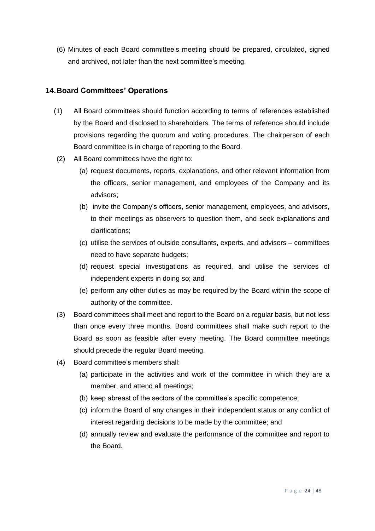(6) Minutes of each Board committee's meeting should be prepared, circulated, signed and archived, not later than the next committee's meeting.

#### <span id="page-23-0"></span>**14.Board Committees' Operations**

- (1) All Board committees should function according to terms of references established by the Board and disclosed to shareholders. The terms of reference should include provisions regarding the quorum and voting procedures. The chairperson of each Board committee is in charge of reporting to the Board.
- (2) All Board committees have the right to:
	- (a) request documents, reports, explanations, and other relevant information from the officers, senior management, and employees of the Company and its advisors;
	- (b) invite the Company's officers, senior management, employees, and advisors, to their meetings as observers to question them, and seek explanations and clarifications;
	- (c) utilise the services of outside consultants, experts, and advisers committees need to have separate budgets;
	- (d) request special investigations as required, and utilise the services of independent experts in doing so; and
	- (e) perform any other duties as may be required by the Board within the scope of authority of the committee.
- (3) Board committees shall meet and report to the Board on a regular basis, but not less than once every three months. Board committees shall make such report to the Board as soon as feasible after every meeting. The Board committee meetings should precede the regular Board meeting.
- (4) Board committee's members shall:
	- (a) participate in the activities and work of the committee in which they are a member, and attend all meetings;
	- (b) keep abreast of the sectors of the committee's specific competence;
	- (c) inform the Board of any changes in their independent status or any conflict of interest regarding decisions to be made by the committee; and
	- (d) annually review and evaluate the performance of the committee and report to the Board.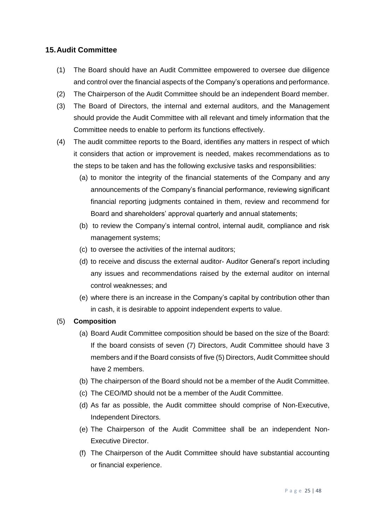#### <span id="page-24-0"></span>**15.Audit Committee**

- (1) The Board should have an Audit Committee empowered to oversee due diligence and control over the financial aspects of the Company's operations and performance.
- (2) The Chairperson of the Audit Committee should be an independent Board member.
- (3) The Board of Directors, the internal and external auditors, and the Management should provide the Audit Committee with all relevant and timely information that the Committee needs to enable to perform its functions effectively.
- (4) The audit committee reports to the Board, identifies any matters in respect of which it considers that action or improvement is needed, makes recommendations as to the steps to be taken and has the following exclusive tasks and responsibilities:
	- (a) to monitor the integrity of the financial statements of the Company and any announcements of the Company's financial performance, reviewing significant financial reporting judgments contained in them, review and recommend for Board and shareholders' approval quarterly and annual statements;
	- (b) to review the Company's internal control, internal audit, compliance and risk management systems;
	- (c) to oversee the activities of the internal auditors;
	- (d) to receive and discuss the external auditor- Auditor General's report including any issues and recommendations raised by the external auditor on internal control weaknesses; and
	- (e) where there is an increase in the Company's capital by contribution other than in cash, it is desirable to appoint independent experts to value.

#### (5) **Composition**

- (a) Board Audit Committee composition should be based on the size of the Board: If the board consists of seven (7) Directors, Audit Committee should have 3 members and if the Board consists of five (5) Directors, Audit Committee should have 2 members.
- (b) The chairperson of the Board should not be a member of the Audit Committee.
- (c) The CEO/MD should not be a member of the Audit Committee.
- (d) As far as possible, the Audit committee should comprise of Non-Executive, Independent Directors.
- (e) The Chairperson of the Audit Committee shall be an independent Non-Executive Director.
- (f) The Chairperson of the Audit Committee should have substantial accounting or financial experience.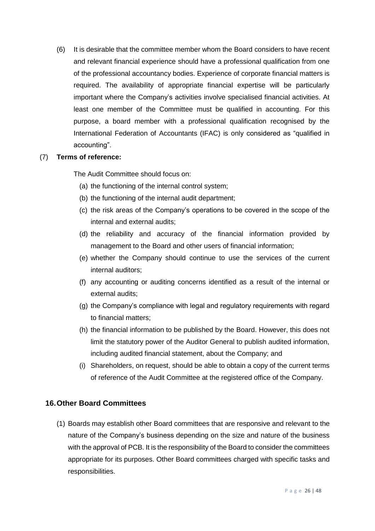(6) It is desirable that the committee member whom the Board considers to have recent and relevant financial experience should have a professional qualification from one of the professional accountancy bodies. Experience of corporate financial matters is required. The availability of appropriate financial expertise will be particularly important where the Company's activities involve specialised financial activities. At least one member of the Committee must be qualified in accounting. For this purpose, a board member with a professional qualification recognised by the International Federation of Accountants (IFAC) is only considered as "qualified in accounting".

#### (7) **Terms of reference:**

The Audit Committee should focus on:

- (a) the functioning of the internal control system;
- (b) the functioning of the internal audit department;
- (c) the risk areas of the Company's operations to be covered in the scope of the internal and external audits;
- (d) the reliability and accuracy of the financial information provided by management to the Board and other users of financial information;
- (e) whether the Company should continue to use the services of the current internal auditors;
- (f) any accounting or auditing concerns identified as a result of the internal or external audits;
- (g) the Company's compliance with legal and regulatory requirements with regard to financial matters;
- (h) the financial information to be published by the Board. However, this does not limit the statutory power of the Auditor General to publish audited information, including audited financial statement, about the Company; and
- (i) Shareholders, on request, should be able to obtain a copy of the current terms of reference of the Audit Committee at the registered office of the Company.

#### <span id="page-25-0"></span>**16.Other Board Committees**

(1) Boards may establish other Board committees that are responsive and relevant to the nature of the Company's business depending on the size and nature of the business with the approval of PCB. It is the responsibility of the Board to consider the committees appropriate for its purposes. Other Board committees charged with specific tasks and responsibilities.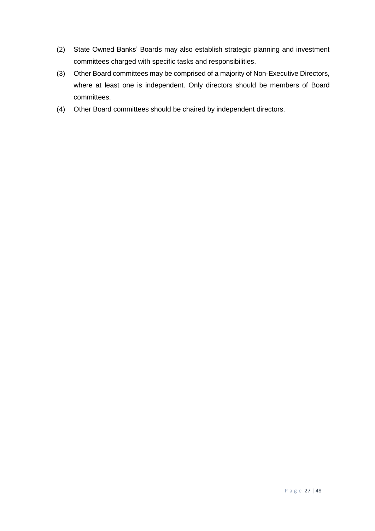- (2) State Owned Banks' Boards may also establish strategic planning and investment committees charged with specific tasks and responsibilities.
- (3) Other Board committees may be comprised of a majority of Non-Executive Directors, where at least one is independent. Only directors should be members of Board committees.
- (4) Other Board committees should be chaired by independent directors.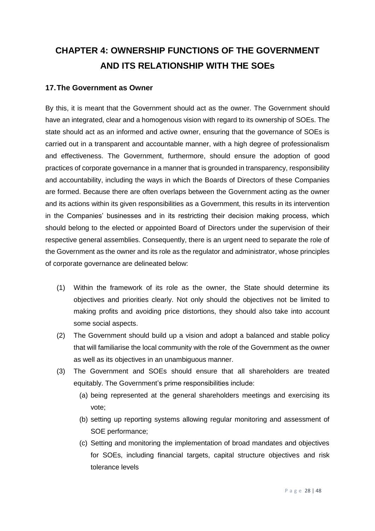# <span id="page-27-0"></span>**CHAPTER 4: OWNERSHIP FUNCTIONS OF THE GOVERNMENT AND ITS RELATIONSHIP WITH THE SOEs**

#### <span id="page-27-1"></span>**17.The Government as Owner**

By this, it is meant that the Government should act as the owner. The Government should have an integrated, clear and a homogenous vision with regard to its ownership of SOEs. The state should act as an informed and active owner, ensuring that the governance of SOEs is carried out in a transparent and accountable manner, with a high degree of professionalism and effectiveness. The Government, furthermore, should ensure the adoption of good practices of corporate governance in a manner that is grounded in transparency, responsibility and accountability, including the ways in which the Boards of Directors of these Companies are formed. Because there are often overlaps between the Government acting as the owner and its actions within its given responsibilities as a Government, this results in its intervention in the Companies' businesses and in its restricting their decision making process, which should belong to the elected or appointed Board of Directors under the supervision of their respective general assemblies. Consequently, there is an urgent need to separate the role of the Government as the owner and its role as the regulator and administrator, whose principles of corporate governance are delineated below:

- (1) Within the framework of its role as the owner, the State should determine its objectives and priorities clearly. Not only should the objectives not be limited to making profits and avoiding price distortions, they should also take into account some social aspects.
- (2) The Government should build up a vision and adopt a balanced and stable policy that will familiarise the local community with the role of the Government as the owner as well as its objectives in an unambiguous manner.
- (3) The Government and SOEs should ensure that all shareholders are treated equitably. The Government's prime responsibilities include:
	- (a) being represented at the general shareholders meetings and exercising its vote;
	- (b) setting up reporting systems allowing regular monitoring and assessment of SOE performance;
	- (c) Setting and monitoring the implementation of broad mandates and objectives for SOEs, including financial targets, capital structure objectives and risk tolerance levels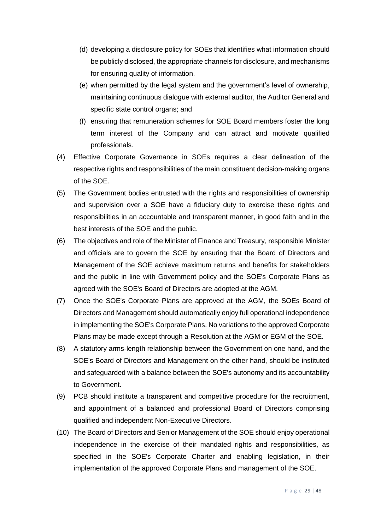- (d) developing a disclosure policy for SOEs that identifies what information should be publicly disclosed, the appropriate channels for disclosure, and mechanisms for ensuring quality of information.
- (e) when permitted by the legal system and the government's level of ownership, maintaining continuous dialogue with external auditor, the Auditor General and specific state control organs; and
- (f) ensuring that remuneration schemes for SOE Board members foster the long term interest of the Company and can attract and motivate qualified professionals.
- (4) Effective Corporate Governance in SOEs requires a clear delineation of the respective rights and responsibilities of the main constituent decision-making organs of the SOE.
- (5) The Government bodies entrusted with the rights and responsibilities of ownership and supervision over a SOE have a fiduciary duty to exercise these rights and responsibilities in an accountable and transparent manner, in good faith and in the best interests of the SOE and the public.
- (6) The objectives and role of the Minister of Finance and Treasury, responsible Minister and officials are to govern the SOE by ensuring that the Board of Directors and Management of the SOE achieve maximum returns and benefits for stakeholders and the public in line with Government policy and the SOE's Corporate Plans as agreed with the SOE's Board of Directors are adopted at the AGM.
- (7) Once the SOE's Corporate Plans are approved at the AGM, the SOEs Board of Directors and Management should automatically enjoy full operational independence in implementing the SOE's Corporate Plans. No variations to the approved Corporate Plans may be made except through a Resolution at the AGM or EGM of the SOE.
- (8) A statutory arms-length relationship between the Government on one hand, and the SOE's Board of Directors and Management on the other hand, should be instituted and safeguarded with a balance between the SOE's autonomy and its accountability to Government.
- (9) PCB should institute a transparent and competitive procedure for the recruitment, and appointment of a balanced and professional Board of Directors comprising qualified and independent Non-Executive Directors.
- (10) The Board of Directors and Senior Management of the SOE should enjoy operational independence in the exercise of their mandated rights and responsibilities, as specified in the SOE's Corporate Charter and enabling legislation, in their implementation of the approved Corporate Plans and management of the SOE.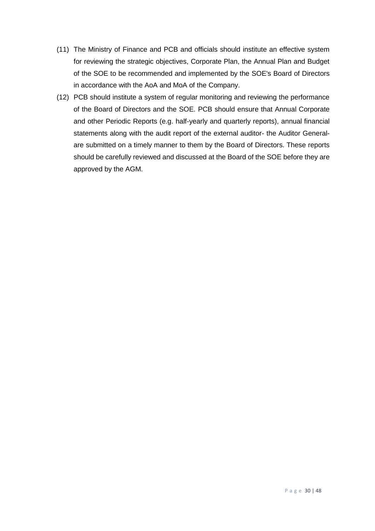- (11) The Ministry of Finance and PCB and officials should institute an effective system for reviewing the strategic objectives, Corporate Plan, the Annual Plan and Budget of the SOE to be recommended and implemented by the SOE's Board of Directors in accordance with the AoA and MoA of the Company.
- (12) PCB should institute a system of regular monitoring and reviewing the performance of the Board of Directors and the SOE. PCB should ensure that Annual Corporate and other Periodic Reports (e.g. half-yearly and quarterly reports), annual financial statements along with the audit report of the external auditor- the Auditor Generalare submitted on a timely manner to them by the Board of Directors. These reports should be carefully reviewed and discussed at the Board of the SOE before they are approved by the AGM.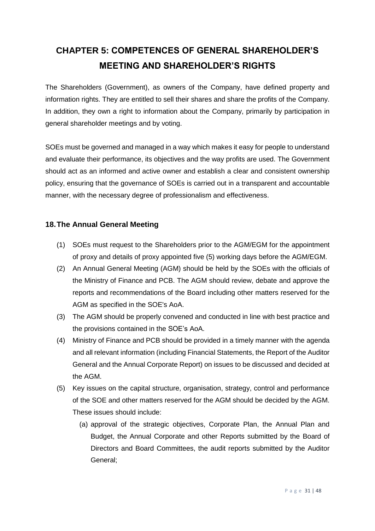# <span id="page-30-0"></span>**CHAPTER 5: COMPETENCES OF GENERAL SHAREHOLDER'S MEETING AND SHAREHOLDER'S RIGHTS**

The Shareholders (Government), as owners of the Company, have defined property and information rights. They are entitled to sell their shares and share the profits of the Company. In addition, they own a right to information about the Company, primarily by participation in general shareholder meetings and by voting.

SOEs must be governed and managed in a way which makes it easy for people to understand and evaluate their performance, its objectives and the way profits are used. The Government should act as an informed and active owner and establish a clear and consistent ownership policy, ensuring that the governance of SOEs is carried out in a transparent and accountable manner, with the necessary degree of professionalism and effectiveness.

#### <span id="page-30-1"></span>**18.The Annual General Meeting**

- (1) SOEs must request to the Shareholders prior to the AGM/EGM for the appointment of proxy and details of proxy appointed five (5) working days before the AGM/EGM.
- (2) An Annual General Meeting (AGM) should be held by the SOEs with the officials of the Ministry of Finance and PCB. The AGM should review, debate and approve the reports and recommendations of the Board including other matters reserved for the AGM as specified in the SOE's AoA.
- (3) The AGM should be properly convened and conducted in line with best practice and the provisions contained in the SOE's AoA.
- (4) Ministry of Finance and PCB should be provided in a timely manner with the agenda and all relevant information (including Financial Statements, the Report of the Auditor General and the Annual Corporate Report) on issues to be discussed and decided at the AGM.
- (5) Key issues on the capital structure, organisation, strategy, control and performance of the SOE and other matters reserved for the AGM should be decided by the AGM. These issues should include:
	- (a) approval of the strategic objectives, Corporate Plan, the Annual Plan and Budget, the Annual Corporate and other Reports submitted by the Board of Directors and Board Committees, the audit reports submitted by the Auditor General;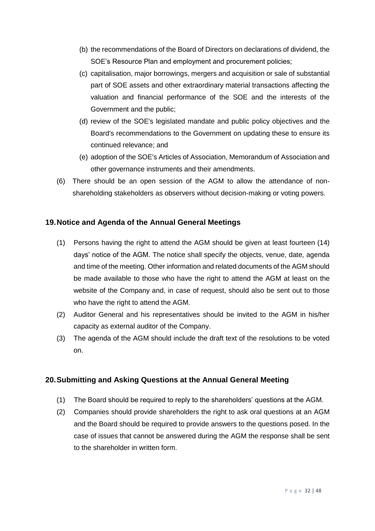- (b) the recommendations of the Board of Directors on declarations of dividend, the SOE's Resource Plan and employment and procurement policies;
- (c) capitalisation, major borrowings, mergers and acquisition or sale of substantial part of SOE assets and other extraordinary material transactions affecting the valuation and financial performance of the SOE and the interests of the Government and the public;
- (d) review of the SOE's legislated mandate and public policy objectives and the Board's recommendations to the Government on updating these to ensure its continued relevance; and
- (e) adoption of the SOE's Articles of Association, Memorandum of Association and other governance instruments and their amendments.
- (6) There should be an open session of the AGM to allow the attendance of nonshareholding stakeholders as observers without decision-making or voting powers.

#### <span id="page-31-0"></span>**19.Notice and Agenda of the Annual General Meetings**

- (1) Persons having the right to attend the AGM should be given at least fourteen (14) days' notice of the AGM. The notice shall specify the objects, venue, date, agenda and time of the meeting. Other information and related documents of the AGM should be made available to those who have the right to attend the AGM at least on the website of the Company and, in case of request, should also be sent out to those who have the right to attend the AGM.
- (2) Auditor General and his representatives should be invited to the AGM in his/her capacity as external auditor of the Company.
- (3) The agenda of the AGM should include the draft text of the resolutions to be voted on.

#### <span id="page-31-1"></span>**20.Submitting and Asking Questions at the Annual General Meeting**

- (1) The Board should be required to reply to the shareholders' questions at the AGM.
- (2) Companies should provide shareholders the right to ask oral questions at an AGM and the Board should be required to provide answers to the questions posed. In the case of issues that cannot be answered during the AGM the response shall be sent to the shareholder in written form.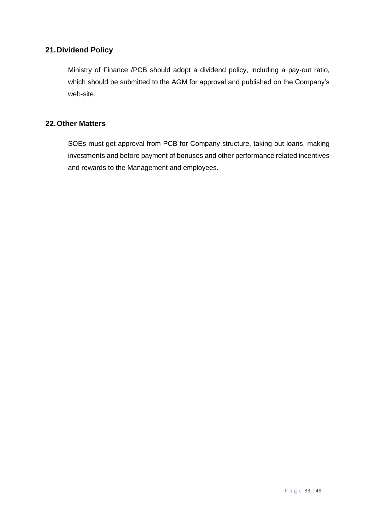## <span id="page-32-0"></span>**21.Dividend Policy**

Ministry of Finance /PCB should adopt a dividend policy, including a pay-out ratio, which should be submitted to the AGM for approval and published on the Company's web-site.

## <span id="page-32-1"></span>**22.Other Matters**

SOEs must get approval from PCB for Company structure, taking out loans, making investments and before payment of bonuses and other performance related incentives and rewards to the Management and employees.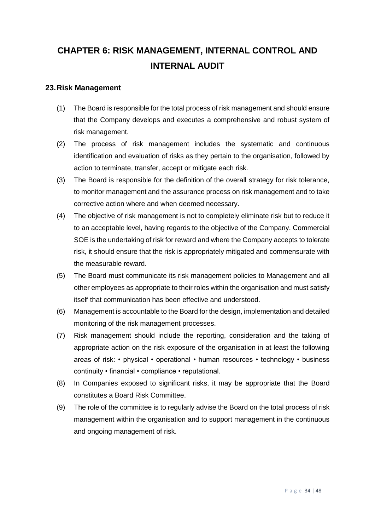# <span id="page-33-0"></span>**CHAPTER 6: RISK MANAGEMENT, INTERNAL CONTROL AND INTERNAL AUDIT**

#### <span id="page-33-1"></span>**23.Risk Management**

- (1) The Board is responsible for the total process of risk management and should ensure that the Company develops and executes a comprehensive and robust system of risk management.
- (2) The process of risk management includes the systematic and continuous identification and evaluation of risks as they pertain to the organisation, followed by action to terminate, transfer, accept or mitigate each risk.
- (3) The Board is responsible for the definition of the overall strategy for risk tolerance, to monitor management and the assurance process on risk management and to take corrective action where and when deemed necessary.
- (4) The objective of risk management is not to completely eliminate risk but to reduce it to an acceptable level, having regards to the objective of the Company. Commercial SOE is the undertaking of risk for reward and where the Company accepts to tolerate risk, it should ensure that the risk is appropriately mitigated and commensurate with the measurable reward.
- (5) The Board must communicate its risk management policies to Management and all other employees as appropriate to their roles within the organisation and must satisfy itself that communication has been effective and understood.
- (6) Management is accountable to the Board for the design, implementation and detailed monitoring of the risk management processes.
- (7) Risk management should include the reporting, consideration and the taking of appropriate action on the risk exposure of the organisation in at least the following areas of risk: • physical • operational • human resources • technology • business continuity • financial • compliance • reputational.
- (8) In Companies exposed to significant risks, it may be appropriate that the Board constitutes a Board Risk Committee.
- (9) The role of the committee is to regularly advise the Board on the total process of risk management within the organisation and to support management in the continuous and ongoing management of risk.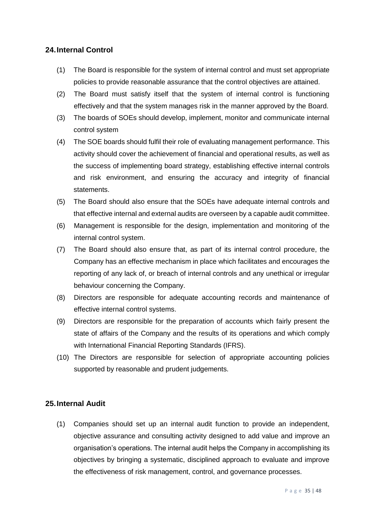#### <span id="page-34-0"></span>**24.Internal Control**

- (1) The Board is responsible for the system of internal control and must set appropriate policies to provide reasonable assurance that the control objectives are attained.
- (2) The Board must satisfy itself that the system of internal control is functioning effectively and that the system manages risk in the manner approved by the Board.
- (3) The boards of SOEs should develop, implement, monitor and communicate internal control system
- (4) The SOE boards should fulfil their role of evaluating management performance. This activity should cover the achievement of financial and operational results, as well as the success of implementing board strategy, establishing effective internal controls and risk environment, and ensuring the accuracy and integrity of financial statements.
- (5) The Board should also ensure that the SOEs have adequate internal controls and that effective internal and external audits are overseen by a capable audit committee.
- (6) Management is responsible for the design, implementation and monitoring of the internal control system.
- (7) The Board should also ensure that, as part of its internal control procedure, the Company has an effective mechanism in place which facilitates and encourages the reporting of any lack of, or breach of internal controls and any unethical or irregular behaviour concerning the Company.
- (8) Directors are responsible for adequate accounting records and maintenance of effective internal control systems.
- (9) Directors are responsible for the preparation of accounts which fairly present the state of affairs of the Company and the results of its operations and which comply with International Financial Reporting Standards (IFRS).
- (10) The Directors are responsible for selection of appropriate accounting policies supported by reasonable and prudent judgements.

#### <span id="page-34-1"></span>**25.Internal Audit**

(1) Companies should set up an internal audit function to provide an independent, objective assurance and consulting activity designed to add value and improve an organisation's operations. The internal audit helps the Company in accomplishing its objectives by bringing a systematic, disciplined approach to evaluate and improve the effectiveness of risk management, control, and governance processes.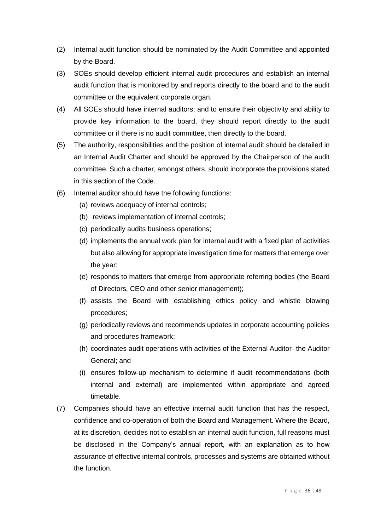- (2) Internal audit function should be nominated by the Audit Committee and appointed by the Board.
- (3) SOEs should develop efficient internal audit procedures and establish an internal audit function that is monitored by and reports directly to the board and to the audit committee or the equivalent corporate organ.
- (4) All SOEs should have internal auditors; and to ensure their objectivity and ability to provide key information to the board, they should report directly to the audit committee or if there is no audit committee, then directly to the board.
- (5) The authority, responsibilities and the position of internal audit should be detailed in an Internal Audit Charter and should be approved by the Chairperson of the audit committee. Such a charter, amongst others, should incorporate the provisions stated in this section of the Code.
- (6) Internal auditor should have the following functions:
	- (a) reviews adequacy of internal controls;
	- (b) reviews implementation of internal controls;
	- (c) periodically audits business operations;
	- (d) implements the annual work plan for internal audit with a fixed plan of activities but also allowing for appropriate investigation time for matters that emerge over the year;
	- (e) responds to matters that emerge from appropriate referring bodies (the Board of Directors, CEO and other senior management);
	- (f) assists the Board with establishing ethics policy and whistle blowing procedures;
	- (g) periodically reviews and recommends updates in corporate accounting policies and procedures framework;
	- (h) coordinates audit operations with activities of the External Auditor- the Auditor General; and
	- (i) ensures follow-up mechanism to determine if audit recommendations (both internal and external) are implemented within appropriate and agreed timetable.
- (7) Companies should have an effective internal audit function that has the respect, confidence and co-operation of both the Board and Management. Where the Board, at its discretion, decides not to establish an internal audit function, full reasons must be disclosed in the Company's annual report, with an explanation as to how assurance of effective internal controls, processes and systems are obtained without the function.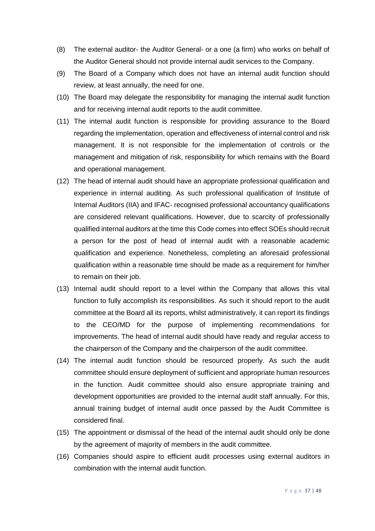- (8) The external auditor- the Auditor General- or a one (a firm) who works on behalf of the Auditor General should not provide internal audit services to the Company.
- (9) The Board of a Company which does not have an internal audit function should review, at least annually, the need for one.
- (10) The Board may delegate the responsibility for managing the internal audit function and for receiving internal audit reports to the audit committee.
- (11) The internal audit function is responsible for providing assurance to the Board regarding the implementation, operation and effectiveness of internal control and risk management. It is not responsible for the implementation of controls or the management and mitigation of risk, responsibility for which remains with the Board and operational management.
- (12) The head of internal audit should have an appropriate professional qualification and experience in internal auditing. As such professional qualification of Institute of Internal Auditors (IIA) and IFAC- recognised professional accountancy qualifications are considered relevant qualifications. However, due to scarcity of professionally qualified internal auditors at the time this Code comes into effect SOEs should recruit a person for the post of head of internal audit with a reasonable academic qualification and experience. Nonetheless, completing an aforesaid professional qualification within a reasonable time should be made as a requirement for him/her to remain on their job.
- (13) Internal audit should report to a level within the Company that allows this vital function to fully accomplish its responsibilities. As such it should report to the audit committee at the Board all its reports, whilst administratively, it can report its findings to the CEO/MD for the purpose of implementing recommendations for improvements. The head of internal audit should have ready and regular access to the chairperson of the Company and the chairperson of the audit committee.
- (14) The internal audit function should be resourced properly. As such the audit committee should ensure deployment of sufficient and appropriate human resources in the function. Audit committee should also ensure appropriate training and development opportunities are provided to the internal audit staff annually. For this, annual training budget of internal audit once passed by the Audit Committee is considered final.
- (15) The appointment or dismissal of the head of the internal audit should only be done by the agreement of majority of members in the audit committee.
- (16) Companies should aspire to efficient audit processes using external auditors in combination with the internal audit function.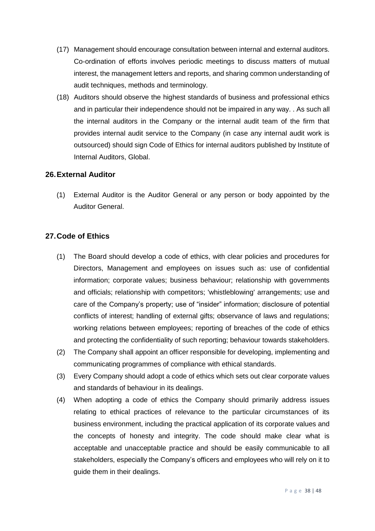- (17) Management should encourage consultation between internal and external auditors. Co-ordination of efforts involves periodic meetings to discuss matters of mutual interest, the management letters and reports, and sharing common understanding of audit techniques, methods and terminology.
- (18) Auditors should observe the highest standards of business and professional ethics and in particular their independence should not be impaired in any way. . As such all the internal auditors in the Company or the internal audit team of the firm that provides internal audit service to the Company (in case any internal audit work is outsourced) should sign Code of Ethics for internal auditors published by Institute of Internal Auditors, Global.

#### <span id="page-37-0"></span>**26.External Auditor**

(1) External Auditor is the Auditor General or any person or body appointed by the Auditor General.

#### <span id="page-37-1"></span>**27.Code of Ethics**

- (1) The Board should develop a code of ethics, with clear policies and procedures for Directors, Management and employees on issues such as: use of confidential information; corporate values; business behaviour; relationship with governments and officials; relationship with competitors; 'whistleblowing' arrangements; use and care of the Company's property; use of "insider" information; disclosure of potential conflicts of interest; handling of external gifts; observance of laws and regulations; working relations between employees; reporting of breaches of the code of ethics and protecting the confidentiality of such reporting; behaviour towards stakeholders.
- (2) The Company shall appoint an officer responsible for developing, implementing and communicating programmes of compliance with ethical standards.
- (3) Every Company should adopt a code of ethics which sets out clear corporate values and standards of behaviour in its dealings.
- (4) When adopting a code of ethics the Company should primarily address issues relating to ethical practices of relevance to the particular circumstances of its business environment, including the practical application of its corporate values and the concepts of honesty and integrity. The code should make clear what is acceptable and unacceptable practice and should be easily communicable to all stakeholders, especially the Company's officers and employees who will rely on it to guide them in their dealings.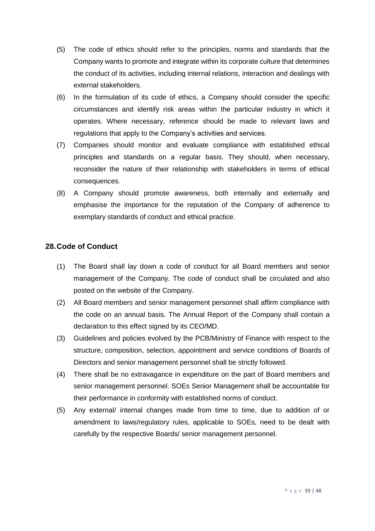- (5) The code of ethics should refer to the principles, norms and standards that the Company wants to promote and integrate within its corporate culture that determines the conduct of its activities, including internal relations, interaction and dealings with external stakeholders.
- (6) In the formulation of its code of ethics, a Company should consider the specific circumstances and identify risk areas within the particular industry in which it operates. Where necessary, reference should be made to relevant laws and regulations that apply to the Company's activities and services.
- (7) Companies should monitor and evaluate compliance with established ethical principles and standards on a regular basis. They should, when necessary, reconsider the nature of their relationship with stakeholders in terms of ethical consequences.
- (8) A Company should promote awareness, both internally and externally and emphasise the importance for the reputation of the Company of adherence to exemplary standards of conduct and ethical practice.

#### <span id="page-38-0"></span>**28.Code of Conduct**

- (1) The Board shall lay down a code of conduct for all Board members and senior management of the Company. The code of conduct shall be circulated and also posted on the website of the Company.
- (2) All Board members and senior management personnel shall affirm compliance with the code on an annual basis. The Annual Report of the Company shall contain a declaration to this effect signed by its CEO/MD.
- (3) Guidelines and policies evolved by the PCB/Ministry of Finance with respect to the structure, composition, selection, appointment and service conditions of Boards of Directors and senior management personnel shall be strictly followed.
- (4) There shall be no extravagance in expenditure on the part of Board members and senior management personnel. SOEs Senior Management shall be accountable for their performance in conformity with established norms of conduct.
- <span id="page-38-1"></span>(5) Any external/ internal changes made from time to time, due to addition of or amendment to laws/regulatory rules, applicable to SOEs, need to be dealt with carefully by the respective Boards/ senior management personnel.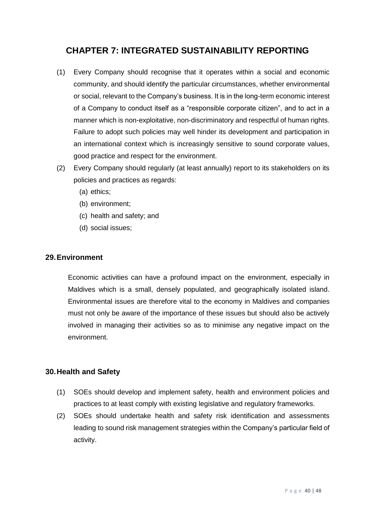# **CHAPTER 7: INTEGRATED SUSTAINABILITY REPORTING**

- (1) Every Company should recognise that it operates within a social and economic community, and should identify the particular circumstances, whether environmental or social, relevant to the Company's business. It is in the long-term economic interest of a Company to conduct itself as a "responsible corporate citizen", and to act in a manner which is non-exploitative, non-discriminatory and respectful of human rights. Failure to adopt such policies may well hinder its development and participation in an international context which is increasingly sensitive to sound corporate values, good practice and respect for the environment.
- (2) Every Company should regularly (at least annually) report to its stakeholders on its policies and practices as regards:
	- (a) ethics;
	- (b) environment;
	- (c) health and safety; and
	- (d) social issues;

#### <span id="page-39-0"></span>**29.Environment**

Economic activities can have a profound impact on the environment, especially in Maldives which is a small, densely populated, and geographically isolated island. Environmental issues are therefore vital to the economy in Maldives and companies must not only be aware of the importance of these issues but should also be actively involved in managing their activities so as to minimise any negative impact on the environment.

#### <span id="page-39-1"></span>**30.Health and Safety**

- (1) SOEs should develop and implement safety, health and environment policies and practices to at least comply with existing legislative and regulatory frameworks.
- (2) SOEs should undertake health and safety risk identification and assessments leading to sound risk management strategies within the Company's particular field of activity.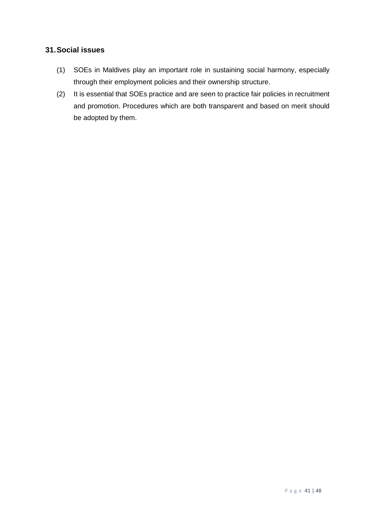## <span id="page-40-0"></span>**31.Social issues**

- (1) SOEs in Maldives play an important role in sustaining social harmony, especially through their employment policies and their ownership structure.
- (2) It is essential that SOEs practice and are seen to practice fair policies in recruitment and promotion. Procedures which are both transparent and based on merit should be adopted by them.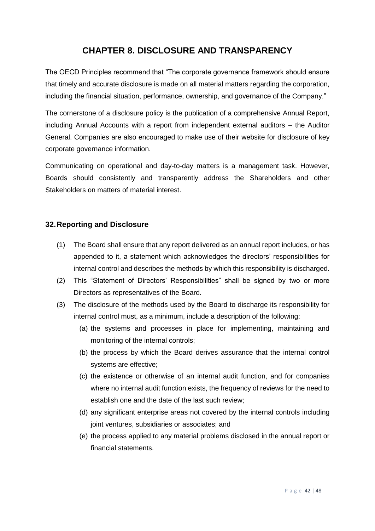# **CHAPTER 8. DISCLOSURE AND TRANSPARENCY**

<span id="page-41-0"></span>The OECD Principles recommend that "The corporate governance framework should ensure that timely and accurate disclosure is made on all material matters regarding the corporation, including the financial situation, performance, ownership, and governance of the Company."

The cornerstone of a disclosure policy is the publication of a comprehensive Annual Report, including Annual Accounts with a report from independent external auditors – the Auditor General. Companies are also encouraged to make use of their website for disclosure of key corporate governance information.

Communicating on operational and day-to-day matters is a management task. However, Boards should consistently and transparently address the Shareholders and other Stakeholders on matters of material interest.

#### <span id="page-41-1"></span>**32.Reporting and Disclosure**

- (1) The Board shall ensure that any report delivered as an annual report includes, or has appended to it, a statement which acknowledges the directors' responsibilities for internal control and describes the methods by which this responsibility is discharged.
- (2) This "Statement of Directors' Responsibilities" shall be signed by two or more Directors as representatives of the Board.
- (3) The disclosure of the methods used by the Board to discharge its responsibility for internal control must, as a minimum, include a description of the following:
	- (a) the systems and processes in place for implementing, maintaining and monitoring of the internal controls;
	- (b) the process by which the Board derives assurance that the internal control systems are effective;
	- (c) the existence or otherwise of an internal audit function, and for companies where no internal audit function exists, the frequency of reviews for the need to establish one and the date of the last such review;
	- (d) any significant enterprise areas not covered by the internal controls including joint ventures, subsidiaries or associates; and
	- (e) the process applied to any material problems disclosed in the annual report or financial statements.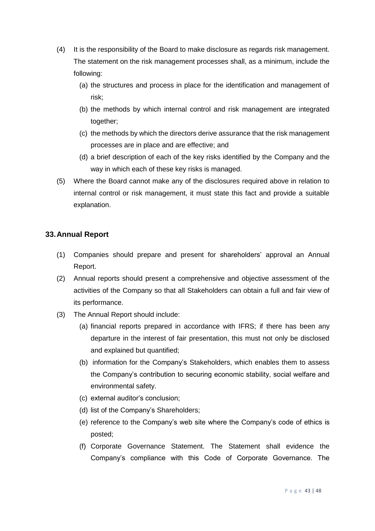- (4) It is the responsibility of the Board to make disclosure as regards risk management. The statement on the risk management processes shall, as a minimum, include the following:
	- (a) the structures and process in place for the identification and management of risk;
	- (b) the methods by which internal control and risk management are integrated together;
	- (c) the methods by which the directors derive assurance that the risk management processes are in place and are effective; and
	- (d) a brief description of each of the key risks identified by the Company and the way in which each of these key risks is managed.
- (5) Where the Board cannot make any of the disclosures required above in relation to internal control or risk management, it must state this fact and provide a suitable explanation.

#### <span id="page-42-0"></span>**33.Annual Report**

- (1) Companies should prepare and present for shareholders' approval an Annual Report.
- (2) Annual reports should present a comprehensive and objective assessment of the activities of the Company so that all Stakeholders can obtain a full and fair view of its performance.
- (3) The Annual Report should include:
	- (a) financial reports prepared in accordance with IFRS; if there has been any departure in the interest of fair presentation, this must not only be disclosed and explained but quantified;
	- (b) information for the Company's Stakeholders, which enables them to assess the Company's contribution to securing economic stability, social welfare and environmental safety.
	- (c) external auditor's conclusion;
	- (d) list of the Company's Shareholders;
	- (e) reference to the Company's web site where the Company's code of ethics is posted;
	- (f) Corporate Governance Statement. The Statement shall evidence the Company's compliance with this Code of Corporate Governance. The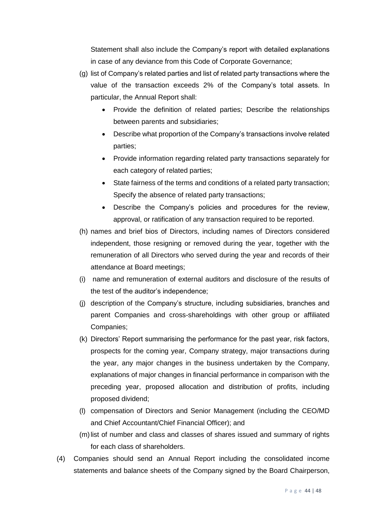Statement shall also include the Company's report with detailed explanations in case of any deviance from this Code of Corporate Governance;

- (g) list of Company's related parties and list of related party transactions where the value of the transaction exceeds 2% of the Company's total assets. In particular, the Annual Report shall:
	- Provide the definition of related parties; Describe the relationships between parents and subsidiaries;
	- Describe what proportion of the Company's transactions involve related parties;
	- Provide information regarding related party transactions separately for each category of related parties;
	- State fairness of the terms and conditions of a related party transaction; Specify the absence of related party transactions;
	- Describe the Company's policies and procedures for the review, approval, or ratification of any transaction required to be reported.
- (h) names and brief bios of Directors, including names of Directors considered independent, those resigning or removed during the year, together with the remuneration of all Directors who served during the year and records of their attendance at Board meetings;
- (i) name and remuneration of external auditors and disclosure of the results of the test of the auditor's independence;
- (j) description of the Company's structure, including subsidiaries, branches and parent Companies and cross-shareholdings with other group or affiliated Companies;
- (k) Directors' Report summarising the performance for the past year, risk factors, prospects for the coming year, Company strategy, major transactions during the year, any major changes in the business undertaken by the Company, explanations of major changes in financial performance in comparison with the preceding year, proposed allocation and distribution of profits, including proposed dividend;
- (l) compensation of Directors and Senior Management (including the CEO/MD and Chief Accountant/Chief Financial Officer); and
- (m)list of number and class and classes of shares issued and summary of rights for each class of shareholders.
- (4) Companies should send an Annual Report including the consolidated income statements and balance sheets of the Company signed by the Board Chairperson,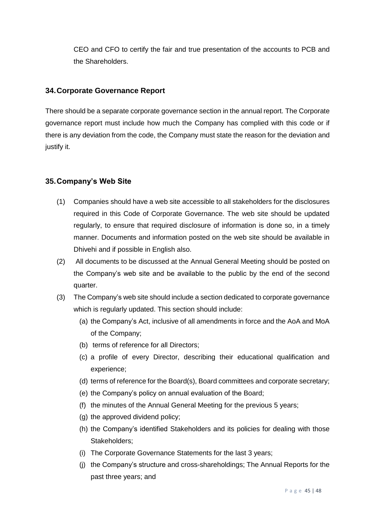CEO and CFO to certify the fair and true presentation of the accounts to PCB and the Shareholders.

### <span id="page-44-0"></span>**34.Corporate Governance Report**

There should be a separate corporate governance section in the annual report. The Corporate governance report must include how much the Company has complied with this code or if there is any deviation from the code, the Company must state the reason for the deviation and justify it.

### <span id="page-44-1"></span>**35.Company's Web Site**

- (1) Companies should have a web site accessible to all stakeholders for the disclosures required in this Code of Corporate Governance. The web site should be updated regularly, to ensure that required disclosure of information is done so, in a timely manner. Documents and information posted on the web site should be available in Dhivehi and if possible in English also.
- (2) All documents to be discussed at the Annual General Meeting should be posted on the Company's web site and be available to the public by the end of the second quarter.
- (3) The Company's web site should include a section dedicated to corporate governance which is regularly updated. This section should include:
	- (a) the Company's Act, inclusive of all amendments in force and the AoA and MoA of the Company;
	- (b) terms of reference for all Directors;
	- (c) a profile of every Director, describing their educational qualification and experience;
	- (d) terms of reference for the Board(s), Board committees and corporate secretary;
	- (e) the Company's policy on annual evaluation of the Board;
	- (f) the minutes of the Annual General Meeting for the previous 5 years;
	- (g) the approved dividend policy;
	- (h) the Company's identified Stakeholders and its policies for dealing with those Stakeholders;
	- (i) The Corporate Governance Statements for the last 3 years;
	- (j) the Company's structure and cross-shareholdings; The Annual Reports for the past three years; and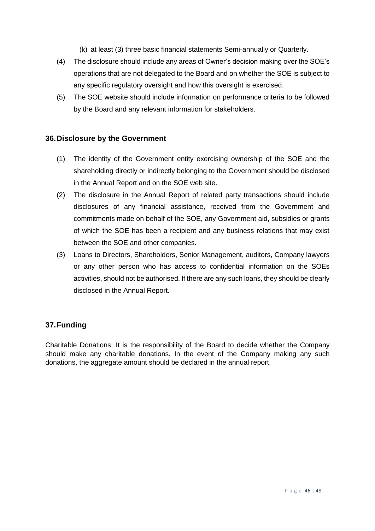(k) at least (3) three basic financial statements Semi-annually or Quarterly.

- (4) The disclosure should include any areas of Owner's decision making over the SOE's operations that are not delegated to the Board and on whether the SOE is subject to any specific regulatory oversight and how this oversight is exercised.
- (5) The SOE website should include information on performance criteria to be followed by the Board and any relevant information for stakeholders.

#### <span id="page-45-0"></span>**36.Disclosure by the Government**

- (1) The identity of the Government entity exercising ownership of the SOE and the shareholding directly or indirectly belonging to the Government should be disclosed in the Annual Report and on the SOE web site.
- (2) The disclosure in the Annual Report of related party transactions should include disclosures of any financial assistance, received from the Government and commitments made on behalf of the SOE, any Government aid, subsidies or grants of which the SOE has been a recipient and any business relations that may exist between the SOE and other companies.
- (3) Loans to Directors, Shareholders, Senior Management, auditors, Company lawyers or any other person who has access to confidential information on the SOEs activities, should not be authorised. If there are any such loans, they should be clearly disclosed in the Annual Report.

#### <span id="page-45-1"></span>**37.Funding**

Charitable Donations: It is the responsibility of the Board to decide whether the Company should make any charitable donations. In the event of the Company making any such donations, the aggregate amount should be declared in the annual report.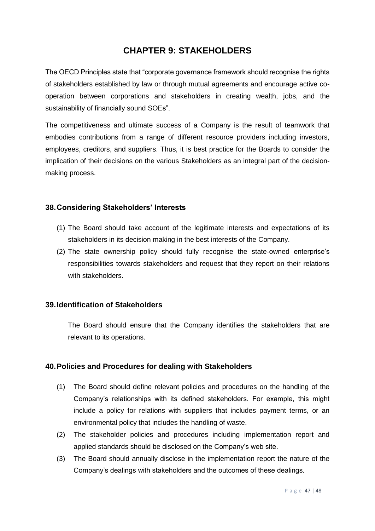## **CHAPTER 9: STAKEHOLDERS**

<span id="page-46-0"></span>The OECD Principles state that "corporate governance framework should recognise the rights of stakeholders established by law or through mutual agreements and encourage active cooperation between corporations and stakeholders in creating wealth, jobs, and the sustainability of financially sound SOEs".

The competitiveness and ultimate success of a Company is the result of teamwork that embodies contributions from a range of different resource providers including investors, employees, creditors, and suppliers. Thus, it is best practice for the Boards to consider the implication of their decisions on the various Stakeholders as an integral part of the decisionmaking process.

#### <span id="page-46-1"></span>**38.Considering Stakeholders' Interests**

- (1) The Board should take account of the legitimate interests and expectations of its stakeholders in its decision making in the best interests of the Company.
- (2) The state ownership policy should fully recognise the state-owned enterprise's responsibilities towards stakeholders and request that they report on their relations with stakeholders.

#### <span id="page-46-2"></span>**39.Identification of Stakeholders**

The Board should ensure that the Company identifies the stakeholders that are relevant to its operations.

#### <span id="page-46-3"></span>**40.Policies and Procedures for dealing with Stakeholders**

- (1) The Board should define relevant policies and procedures on the handling of the Company's relationships with its defined stakeholders. For example, this might include a policy for relations with suppliers that includes payment terms, or an environmental policy that includes the handling of waste.
- (2) The stakeholder policies and procedures including implementation report and applied standards should be disclosed on the Company's web site.
- (3) The Board should annually disclose in the implementation report the nature of the Company's dealings with stakeholders and the outcomes of these dealings.